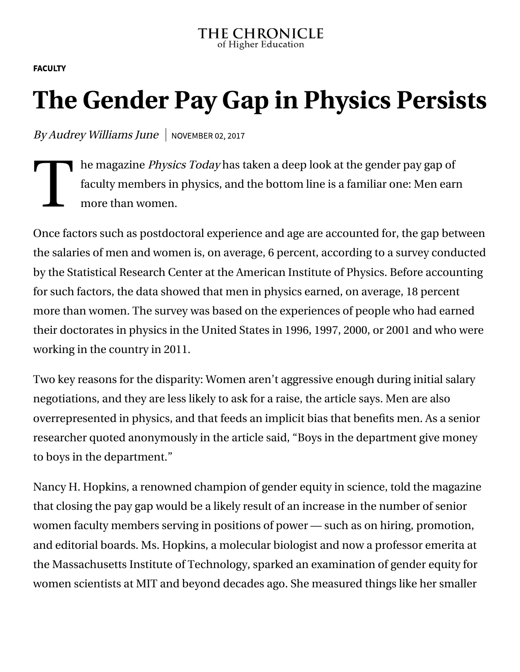**FACULTY** 

## **The Gender Pay Gap in Physics Persists**

 $ByAudrey Williams June \mid \text{NOVEMBER } 02, 2017$ 

T he magazine *Physics Today* has taken a deep look at the gender pay gap of faculty members in physics, and the bottom line is a familiar one: Men earn more than women.

Once factors such as postdoctoral experience and age are accounted for, the gap between the salaries of men and women is, on average, 6 percent, according to a survey conducted by the Statistical Research Center at the American Institute of Physics. Before accounting for such factors, the data showed that men in physics earned, on average, 18 percent more than women. The survey was based on the experiences of people who had earned their doctorates in physics in the United States in 1996, 1997, 2000, or 2001 and who were working in the country in 2011.

Two key reasons for the disparity: Women aren't aggressive enough during initial salary negotiations, and they are less likely to ask for a raise, the article says. Men are also overrepresented in physics, and that feeds an implicit bias that benefits men. As a senior researcher quoted anonymously in the article said, "Boys in the department give money to boys in the department."

Nancy H. Hopkins, a renowned champion of gender equity in science, told the magazine that closing the pay gap would be a likely result of an increase in the number of senior women faculty members serving in positions of power — such as on hiring, promotion, and editorial boards. Ms. Hopkins, a molecular biologist and now a professor emerita at the Massachusetts Institute of Technology, sparked an examination of gender equity for women scientists at MIT and beyond decades ago. She measured things like her smaller